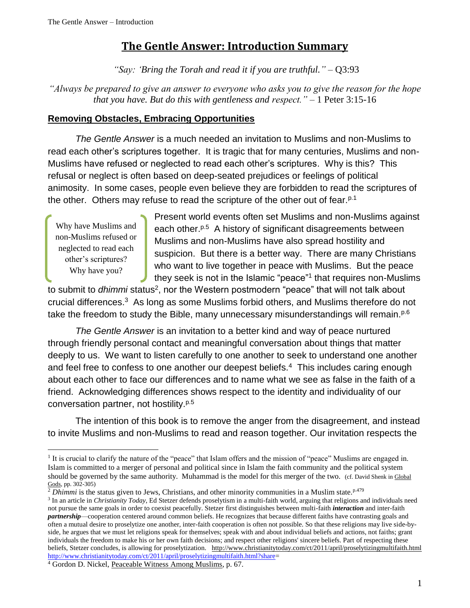## **The Gentle Answer: Introduction Summary**

*"Say: 'Bring the Torah and read it if you are truthful."* – Q3:93

*"Always be prepared to give an answer to everyone who asks you to give the reason for the hope that you have. But do this with gentleness and respect."* – 1 Peter 3:15-16

## **Removing Obstacles, Embracing Opportunities**

*The Gentle Answer* is a much needed an invitation to Muslims and non-Muslims to read each other's scriptures together. It is tragic that for many centuries, Muslims and non-Muslims have refused or neglected to read each other's scriptures. Why is this? This refusal or neglect is often based on deep-seated prejudices or feelings of political animosity. In some cases, people even believe they are forbidden to read the scriptures of the other. Others may refuse to read the scripture of the other out of fear.<sup>p.1</sup>

Why have Muslims and non-Muslims refused or neglected to read each other's scriptures? Why have you?

l

Present world events often set Muslims and non-Muslims against each other.<sup>p.5</sup> A history of significant disagreements between Muslims and non-Muslims have also spread hostility and suspicion. But there is a better way. There are many Christians who want to live together in peace with Muslims. But the peace they seek is not in the Islamic "peace"<sup>1</sup> that requires non-Muslims

to submit to *dhimmi* status<sup>2</sup>, nor the Western postmodern "peace" that will not talk about crucial differences.<sup>3</sup> As long as some Muslims forbid others, and Muslims therefore do not take the freedom to study the Bible, many unnecessary misunderstandings will remain.<sup>p.6</sup>

*The Gentle Answer* is an invitation to a better kind and way of peace nurtured through friendly personal contact and meaningful conversation about things that matter deeply to us. We want to listen carefully to one another to seek to understand one another and feel free to confess to one another our deepest beliefs.<sup>4</sup> This includes caring enough about each other to face our differences and to name what we see as false in the faith of a friend. Acknowledging differences shows respect to the identity and individuality of our conversation partner, not hostility.<sup>p.5</sup>

The intention of this book is to remove the anger from the disagreement, and instead to invite Muslims and non-Muslims to read and reason together. Our invitation respects the

<sup>&</sup>lt;sup>1</sup> It is crucial to clarify the nature of the "peace" that Islam offers and the mission of "peace" Muslims are engaged in. Islam is committed to a merger of personal and political since in Islam the faith community and the political system should be governed by the same authority. Muhammad is the model for this merger of the two. (cf. David Shenk in Global Gods, pp. 302-305)

<sup>&</sup>lt;sup>2</sup> *Dhimmi* is the status given to Jews, Christians, and other minority communities in a Muslim state.<sup>p.479</sup>

<sup>3</sup> In an article in *Christianity Today*, Ed Stetzer defends proselytism in a multi-faith world, arguing that religions and individuals need not pursue the same goals in order to coexist peacefully. Stetzer first distinguishes between multi-faith *interaction* and inter-faith *partnership*—cooperation centered around common beliefs. He recognizes that because different faiths have contrasting goals and often a mutual desire to proselytize one another, inter-faith cooperation is often not possible. So that these religions may live side-byside, he argues that we must let religions speak for themselves; speak with and about individual beliefs and actions, not faiths; grant individuals the freedom to make his or her own faith decisions; and respect other religions' sincere beliefs. Part of respecting these beliefs, Stetzer concludes, is allowing for proselytization. <http://www.christianitytoday.com/ct/2011/april/proselytizingmultifaith.html> [http://www.christianitytoday.com/ct/2011/april/proselytizingmultifaith.html?share=](http://www.christianitytoday.com/ct/2011/april/proselytizingmultifaith.html?share)

<sup>4</sup> Gordon D. Nickel, Peaceable Witness Among Muslims, p. 67.